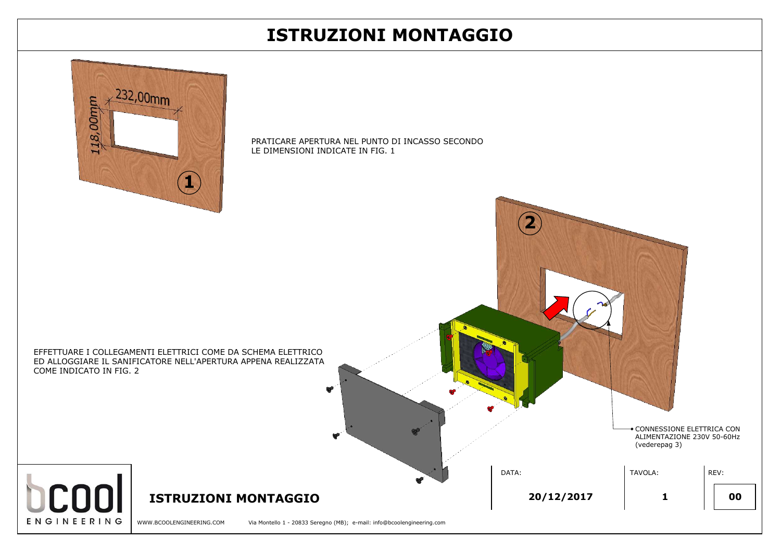WWW.BCOOLENGINEERING.COM Via Montello 1 - 20833 Seregno (MB); e-mail: info@bcoolengineering.com

**V** 

## **ISTRUZIONI MONTAGGIO 20/12/2017 <sup>1</sup> 00**

**ENGINEERING** 



**2**

PRATICARE APERTURA NEL PUNTO DI INCASSO SECONDO LE DIMENSIONI INDICATE IN FIG. 1

| ONDO<br>$\mathbf{2}$     |               |                                                           |
|--------------------------|---------------|-----------------------------------------------------------|
| $\bullet$<br>A<br>A<br>鱼 | (vederepag 3) | · CONNESSIONE ELETTRICA CON<br>ALIMENTAZIONE 230V 50-60Hz |
| DATA:                    | TAVOLA:       | REV:                                                      |
|                          |               |                                                           |



## **ISTRUZIONI MONTAGGIO**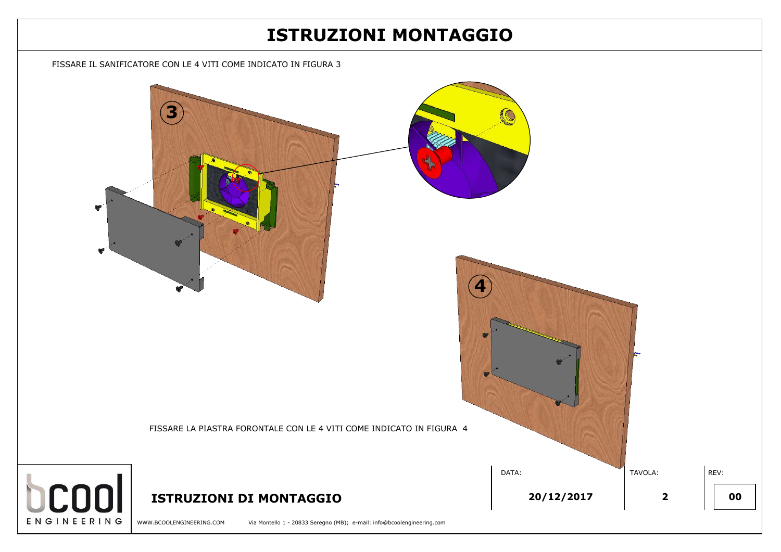

## **ISTRUZIONI MONTAGGIO**

FISSARE IL SANIFICATORE CON LE 4 VITI COME INDICATO IN FIGURA 3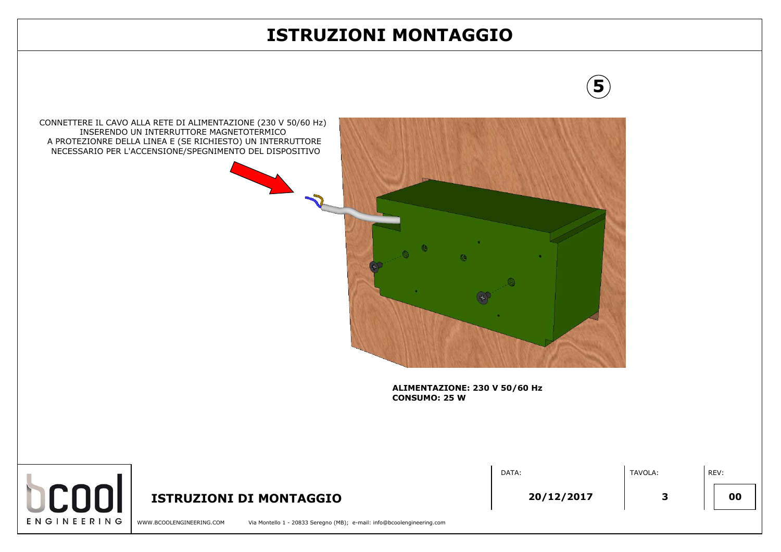### **ISTRUZIONI MONTAGGIO**



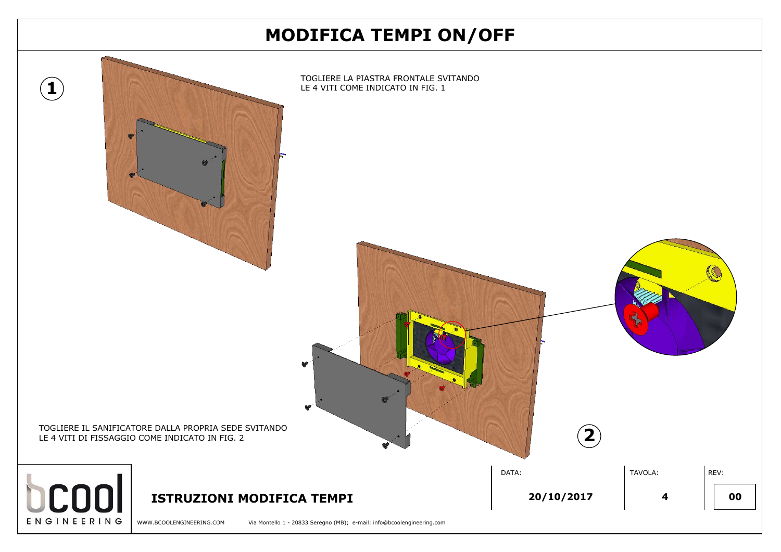| <b>V/OFF</b>               |                               |
|----------------------------|-------------------------------|
| <b>NDO</b>                 |                               |
|                            |                               |
|                            |                               |
|                            |                               |
|                            |                               |
|                            |                               |
|                            |                               |
|                            |                               |
|                            |                               |
| $\left( \mathbf{2}\right)$ |                               |
| DATA:                      | TAVOLA:<br>REV:               |
| 20/10/2017                 | 00<br>$\overline{\mathbf{4}}$ |
|                            |                               |

WWW.BCOOLENGINEERING.COM Via Montello 1 - 20833 Seregno (MB); e-mail: info@bcoolengineering.com

## **MODIFICA TEMPI ON/OFF**

**1**

 $\begin{bmatrix} 0 & 0 & 0 \\ 0 & 0 & 0 \\ 0 & 0 & 0 \end{bmatrix}$  **1 1STRUZIONI MODIFICA TEMPI 40 400 400 400 400 400 400 400 400 400 400 400 400 400 400 400 400 400 400 400 400 400 400 400 400** 



LE 4 VITI DI FISSAGGIO COME INDICATO IN FIG. 2

# ENGINEERING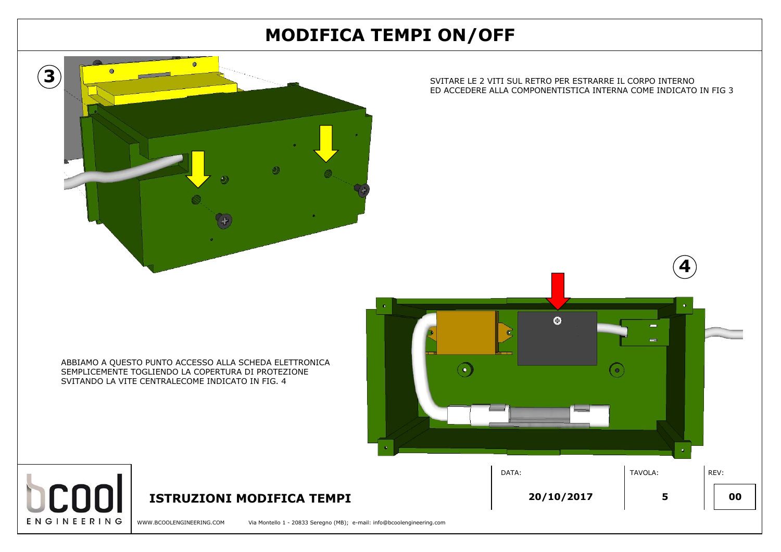